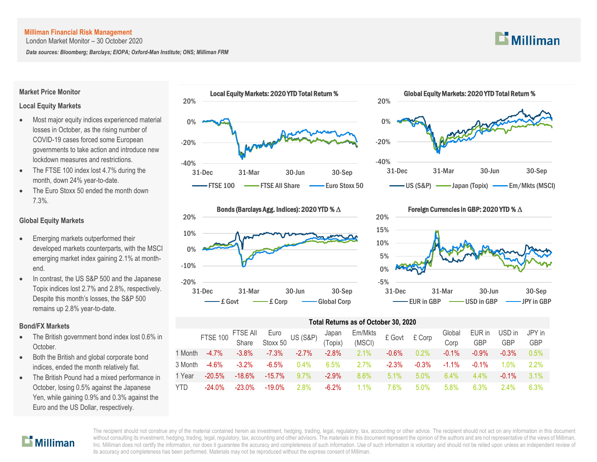London Market Monitor – 30 October 2020

*Data sources: Bloomberg; Barclays; EIOPA; Oxford-Man Institute; ONS; Milliman FRM*

#### **Market Price Monitor**

### **Local Equity Markets**

- Most major equity indices experienced material losses in October, as the rising number of COVID-19 cases forced some European governments to take action and introduce new lockdown measures and restrictions.
- The FTSE 100 index lost 4.7% during the month, down 24% year-to-date.
- The Euro Stoxx 50 ended the month down 7.3%.

## **Global Equity Markets**

- Emerging markets outperformed their developed markets counterparts, with the MSCI emerging market index gaining 2.1% at monthend.
- In contrast, the US S&P 500 and the Japanese Topix indices lost 2.7% and 2.8%, respectively. Despite this month's losses, the S&P 500 remains up 2.8% year-to-date.

### **Bond/FX Markets**

- The British government bond index lost 0.6% in October.
- Both the British and global corporate bond indices, ended the month relatively flat.
- The British Pound had a mixed performance in October, losing 0.5% against the Japanese Yen, while gaining 0.9% and 0.3% against the Euro and the US Dollar, respectively.



Local Equity Markets: 2020 YTD Total Return %





# -5% 0% 5% 10% 15% 20% 31-Dec 31-Mar 30-Jun 30-Sep Foreign Currencies in GBP: 2020 YTD % ∆ EUR in GBP  $\longrightarrow$  USD in GBP  $\longrightarrow$  JPY in GBP

# **Total Returns as of October 30, 2020**

|            | FTSE 100 FTSE All Euro<br>Share Stoxx 50 US (S&P) (Topix) |           |           |          |          | Em/Mkts<br>Cover E Govt E Corp |          |          | Global   | EUR in     | USD in     | JPY in     |
|------------|-----------------------------------------------------------|-----------|-----------|----------|----------|--------------------------------|----------|----------|----------|------------|------------|------------|
|            |                                                           |           |           |          |          | (MSCI)                         |          |          | Corp     | <b>GBP</b> | <b>GBP</b> | <b>GBP</b> |
| 1 Month    | $-4.7\%$                                                  | $-3.8\%$  | $-7.3\%$  | $-2.7\%$ | $-2.8\%$ | 2.1%                           | $-0.6\%$ | $0.2\%$  | $-0.1%$  | $-0.9\%$   | $-0.3%$    | 0.5%       |
| 3 Month    | $-4.6\%$                                                  | $-3.2\%$  | $-6.5%$   | $0.4\%$  | $6.5\%$  | $2.7\%$                        | $-2.3\%$ | $-0.3\%$ | $-1.1\%$ | $-0.1\%$   | $1.0\%$    | 2.2%       |
| 1 Year     | $-20.5%$                                                  | $-18.6%$  | $-15.7\%$ | 9.7%     | $-2.9\%$ | $8.6\%$                        | $5.1\%$  | 5.0%     | $6.4\%$  | $4.4\%$    | $-0.1\%$   | 3.1%       |
| <b>YTD</b> | $-24.0\%$                                                 | $-23.0\%$ | $-19.0\%$ | $2.8\%$  | $-6.2\%$ | $1.1\%$                        | ՝ 6%     | $.50\%$  | 5.8%     | 6.3%       | 24%        | 6.3%       |



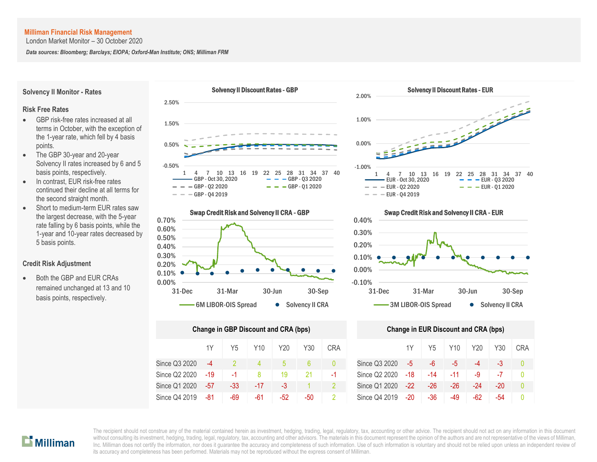London Market Monitor – 30 October 2020

*Data sources: Bloomberg; Barclays; EIOPA; Oxford-Man Institute; ONS; Milliman FRM*

**Solvency II Monitor - Rates**

#### **Risk Free Rates**

- GBP risk-free rates increased at all terms in October, with the exception of the 1-year rate, which fell by 4 basis points.
- The GBP 30-year and 20-year Solvency II rates increased by 6 and 5 basis points, respectively.
- In contrast, EUR risk-free rates continued their decline at all terms for the second straight month.
- Short to medium-term EUR rates saw the largest decrease, with the 5-year rate falling by 6 basis points, while the 1-year and 10-year rates decreased by 5 basis points.

#### **Credit Risk Adjustment**

 Both the GBP and EUR CRAs remained unchanged at 13 and 10 basis points, respectively.





| Change in GBP Discount and CRA (bps) | <b>Change in EUR Discount and CRA (bps)</b> |     |     |       |     |            |               |       |                |     |       |       |    |
|--------------------------------------|---------------------------------------------|-----|-----|-------|-----|------------|---------------|-------|----------------|-----|-------|-------|----|
|                                      | 1Y                                          | Y5  | Y10 | Y20   | Y30 | <b>CRA</b> |               | 1Y    | Y <sub>5</sub> | Y10 | Y20   | Y30   | СR |
| Since Q3 2020                        | $-4$                                        |     | 4   | b     |     | 0          | Since Q3 2020 | $-5$  | -6             | -5  | -4    | -3    | Ω  |
| Since Q2 2020                        | -19                                         | -1  | 8   | 19    | 21  | -1         | Since Q2 2020 | -18   | -14            | -11 | -9    | $-7$  | 0  |
| Since Q1 2020                        | $-57$                                       | -33 | -17 | -3    |     |            | Since Q1 2020 | $-22$ | $-26$          | -26 | $-24$ | $-20$ | Λ  |
| Since Q4 2019                        | -81                                         | -69 | -61 | $-52$ | -50 |            | Since Q4 2019 | -20   | $-36$          | -49 | -62   | -54   | Ω  |





|      | nge in GBP Discount and CRA (bps) |                 |       |     |            | Change in EUR Discount and CRA (bps) |       |       |       |     |     |            |  |
|------|-----------------------------------|-----------------|-------|-----|------------|--------------------------------------|-------|-------|-------|-----|-----|------------|--|
| 1Y   | Y <sub>5</sub>                    | Y <sub>10</sub> | Y20   | Y30 | <b>CRA</b> |                                      | 1Y    | Y5    | Y10   | Y20 | Y30 | <b>CRA</b> |  |
| $-4$ |                                   |                 | 5     | 6   |            | Since Q3 2020                        | $-5$  | $-6$  | -5    | -4  | -3  |            |  |
| -19  | -1                                |                 | 19    | 21  | $-1$       | Since Q2 2020                        | -18   | $-14$ | $-11$ | -9  | -7  |            |  |
| -57  | -33                               | -17             | $-3$  |     |            | Since Q1 2020                        | $-22$ | $-26$ | -26   | -24 | -20 |            |  |
| -81  | -69                               | -61             | $-52$ | -50 |            | Since Q4 2019                        | -20   | $-36$ | -49   | -62 | -54 |            |  |



The recipient should not construe any of the material contained herein as investment, hedging, trading, legal, regulatory, tax, accounting or other advice. The recipient should not act on any information in this document me respect should not consulte any of the material contained nerent as investment, neuging, trading, legal, regulatory, tax, accounting or other advice. The respects for any memorial not act on any information in this docu Inc. Milliman does not certify the information, nor does it guarantee the accuracy and completeness of such information. Use of such information is voluntary and should not be relied upon unless an independent review of its accuracy and completeness has been performed. Materials may not be reproduced without the express consent of Milliman. b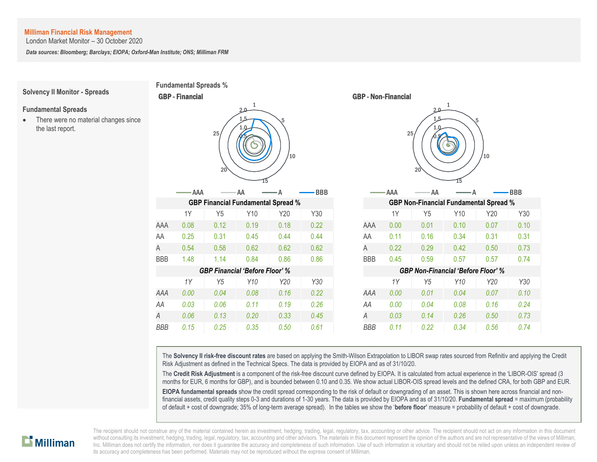London Market Monitor – 30 October 2020

*Data sources: Bloomberg; Barclays; EIOPA; Oxford-Man Institute; ONS; Milliman FRM*

**Fundamental Spreads %**

CBP **Einengiel** 

### **Solvency II Monitor - Spreads**

#### **Fundamental Spreads**

• There were no material changes since the last report.

| <b>UDF - FIIIAIIGIAI</b>                   |      |                |                                           |      |            | <b>UDF - INVII-FIIIAIIGIAI</b> |                                               |       |                        |         |         |            |  |
|--------------------------------------------|------|----------------|-------------------------------------------|------|------------|--------------------------------|-----------------------------------------------|-------|------------------------|---------|---------|------------|--|
| 1<br>2.0<br>5<br>25/<br>10<br>$20^{\circ}$ |      |                |                                           |      |            |                                |                                               |       | 2.0<br>1.5<br>25<br>20 | 1<br>15 | 5<br>10 |            |  |
|                                            | AAA  |                | AA                                        |      | <b>BBB</b> |                                |                                               | - AAA | ΆA                     |         |         | <b>BBB</b> |  |
|                                            |      |                | <b>GBP Financial Fundamental Spread %</b> |      |            |                                | <b>GBP Non-Financial Fundamental Spread %</b> |       |                        |         |         |            |  |
|                                            | 1Y   | Y5             | Y10                                       | Y20  | Y30        |                                |                                               | 1Y    | Y5                     | Y10     | Y20     | Y30        |  |
| AAA                                        | 0.08 | 0.12           | 0.19                                      | 0.18 | 0.22       |                                | AAA                                           | 0.00  | 0.01                   | 0.10    | 0.07    | 0.10       |  |
| AA                                         | 0.25 | 0.31           | 0.45                                      | 0.44 | 0.44       |                                | AA                                            | 0.11  | 0.16                   | 0.34    | 0.31    | 0.31       |  |
| Α                                          | 0.54 | 0.58           | 0.62                                      | 0.62 | 0.62       |                                | A                                             | 0.22  | 0.29                   | 0.42    | 0.50    | 0.73       |  |
| BBB                                        | 1.48 | 1.14           | 0.84                                      | 0.86 | 0.86       |                                | <b>BBB</b>                                    | 0.45  | 0.59                   | 0.57    | 0.57    | 0.74       |  |
|                                            |      |                | <b>GBP Financial 'Before Floor' %</b>     |      |            |                                | <b>GBP Non-Financial 'Before Floor' %</b>     |       |                        |         |         |            |  |
|                                            | 1Y   | Y <sub>5</sub> | Y10                                       | Y20  | Y30        |                                |                                               | 1Y    | Y <sub>5</sub>         | Y10     | Y20     | Y30        |  |
| AAA                                        | 0.00 | 0.04           | 0.08                                      | 0.16 | 0.22       |                                | AAA                                           | 0.00  | 0.01                   | 0.04    | 0.07    | 0.10       |  |
| AA                                         | 0.03 | 0.06           | 0.11                                      | 0.19 | 0.26       |                                | AA                                            | 0.00  | 0.04                   | 0.08    | 0.16    | 0.24       |  |
| Α                                          | 0.06 | 0.13           | 0.20                                      | 0.33 | 0.45       |                                | Α                                             | 0.03  | 0.14                   | 0.26    | 0.50    | 0.73       |  |



The **Solvency II risk-free discount rates** are based on applying the Smith-Wilson Extrapolation to LIBOR swap rates sourced from Refinitiv and applying the Credit Risk Adjustment as defined in the Technical Specs. The data is provided by EIOPA and as of 31/10/20.

The **Credit Risk Adjustment** is a component of the risk-free discount curve defined by EIOPA. It is calculated from actual experience in the 'LIBOR-OIS' spread (3 months for EUR, 6 months for GBP), and is bounded between 0.10 and 0.35. We show actual LIBOR-OIS spread levels and the defined CRA, for both GBP and EUR.

**EIOPA fundamental spreads** show the credit spread corresponding to the risk of default or downgrading of an asset. This is shown here across financial and nonfinancial assets, credit quality steps 0-3 and durations of 1-30 years. The data is provided by EIOPA and as of 31/10/20. **Fundamental spread** = maximum (probability of default + cost of downgrade; 35% of long-term average spread). In the tables we show the '**before floor'** measure = probability of default + cost of downgrade.

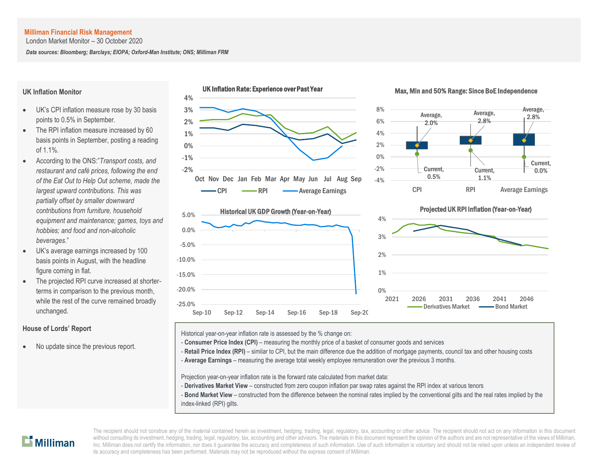London Market Monitor – 30 October 2020

*Data sources: Bloomberg; Barclays; EIOPA; Oxford-Man Institute; ONS; Milliman FRM*

#### **UK Inflation Monitor**

- UK's CPI inflation measure rose by 30 basis points to 0.5% in September.
- The RPI inflation measure increased by 60 basis points in September, posting a reading of 1.1%.
- According to the ONS:"*Transport costs, and restaurant and café prices, following the end of the Eat Out to Help Out scheme, made the largest upward contributions. This was partially offset by smaller downward contributions from furniture, household equipment and maintenance; games, toys and hobbies; and food and non-alcoholic beverages*."
- UK's average earnings increased by 100 basis points in August, with the headline figure coming in flat.
- The projected RPI curve increased at shorterterms in comparison to the previous month, while the rest of the curve remained broadly unchanged.

## **House of Lords' Report**

No update since the previous report.



#### Max, Min and 50% Range: Since BoE Independence





## Projected UK RPI Inflation (Year-on-Year)



Historical year-on-year inflation rate is assessed by the % change on:

- **Consumer Price Index (CPI)** measuring the monthly price of a basket of consumer goods and services
- Retail Price Index (RPI) similar to CPI, but the main difference due the addition of mortgage payments, council tax and other housing costs
- A **Average Earnings** measuring the average total weekly employee remuneration over the previous 3 months.

Projection year-on-year inflation rate is the forward rate calculated from market data:

- **Derivatives Market View** constructed from zero coupon inflation par swap rates against the RPI index at various tenors
- **Bond Market View** constructed from the difference between the nominal rates implied by the conventional gilts and the real rates implied by the index-linked (RPI) gilts.

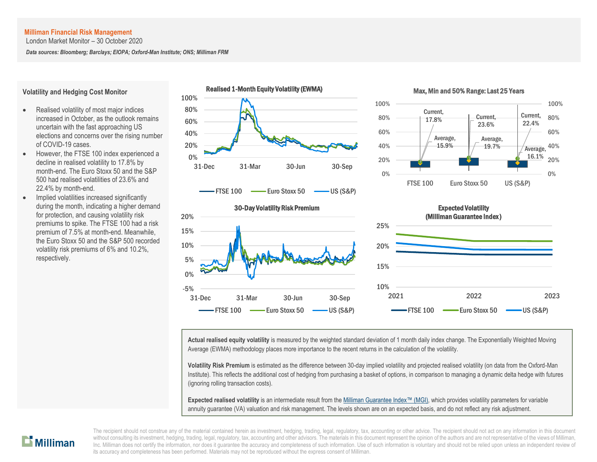London Market Monitor – 30 October 2020

*Data sources: Bloomberg; Barclays; EIOPA; Oxford-Man Institute; ONS; Milliman FRM*



#### **Volatility and Hedging Cost Monitor**

- Realised volatility of most major indices increased in October, as the outlook remains uncertain with the fast approaching US elections and concerns over the rising number of COVID-19 cases.
- However, the FTSE 100 index experienced a decline in realised volatility to 17.8% by month-end. The Euro Stoxx 50 and the S&P 500 had realised volatilities of 23.6% and 22.4% by month-end.
- Implied volatilities increased significantly during the month, indicating a higher demand for protection, and causing volatility risk premiums to spike. The FTSE 100 had a risk premium of 7.5% at month-end. Meanwhile, the Euro Stoxx 50 and the S&P 500 recorded volatility risk premiums of 6% and 10.2%, respectively.

**Actual realised equity volatility** is measured by the weighted standard deviation of 1 month daily index change. The Exponentially Weighted Moving Average (EWMA) methodology places more importance to the recent returns in the calculation of the volatility.

**Volatility Risk Premium** is estimated as the difference between 30-day implied volatility and projected realised volatility (on data from the Oxford-Man Institute). This reflects the additional cost of hedging from purchasing a basket of options, in comparison to managing a dynamic delta hedge with futures (ignoring rolling transaction costs).

**Expected realised volatility** is an intermediate result from th[e Milliman Guarantee Index](http://uk.milliman.com/Solutions/Products/The-Milliman-Guarantee-Index-and-Milliman-Hedge-Cost-Index/)™ (MGI), which provides volatility parameters for variable annuity guarantee (VA) valuation and risk management. The levels shown are on an expected basis, and do not reflect any risk adjustment.